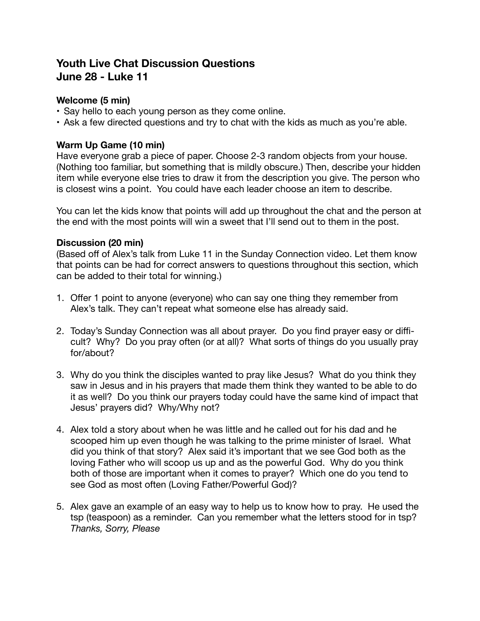# **Youth Live Chat Discussion Questions June 28 - Luke 11**

## **Welcome (5 min)**

- Say hello to each young person as they come online.
- Ask a few directed questions and try to chat with the kids as much as you're able.

## **Warm Up Game (10 min)**

Have everyone grab a piece of paper. Choose 2-3 random objects from your house. (Nothing too familiar, but something that is mildly obscure.) Then, describe your hidden item while everyone else tries to draw it from the description you give. The person who is closest wins a point. You could have each leader choose an item to describe.

You can let the kids know that points will add up throughout the chat and the person at the end with the most points will win a sweet that I'll send out to them in the post.

#### **Discussion (20 min)**

(Based off of Alex's talk from Luke 11 in the Sunday Connection video. Let them know that points can be had for correct answers to questions throughout this section, which can be added to their total for winning.)

- 1. Offer 1 point to anyone (everyone) who can say one thing they remember from Alex's talk. They can't repeat what someone else has already said.
- 2. Today's Sunday Connection was all about prayer. Do you find prayer easy or difficult? Why? Do you pray often (or at all)? What sorts of things do you usually pray for/about?
- 3. Why do you think the disciples wanted to pray like Jesus? What do you think they saw in Jesus and in his prayers that made them think they wanted to be able to do it as well? Do you think our prayers today could have the same kind of impact that Jesus' prayers did? Why/Why not?
- 4. Alex told a story about when he was little and he called out for his dad and he scooped him up even though he was talking to the prime minister of Israel. What did you think of that story? Alex said it's important that we see God both as the loving Father who will scoop us up and as the powerful God. Why do you think both of those are important when it comes to prayer? Which one do you tend to see God as most often (Loving Father/Powerful God)?
- 5. Alex gave an example of an easy way to help us to know how to pray. He used the tsp (teaspoon) as a reminder. Can you remember what the letters stood for in tsp? *Thanks, Sorry, Please*